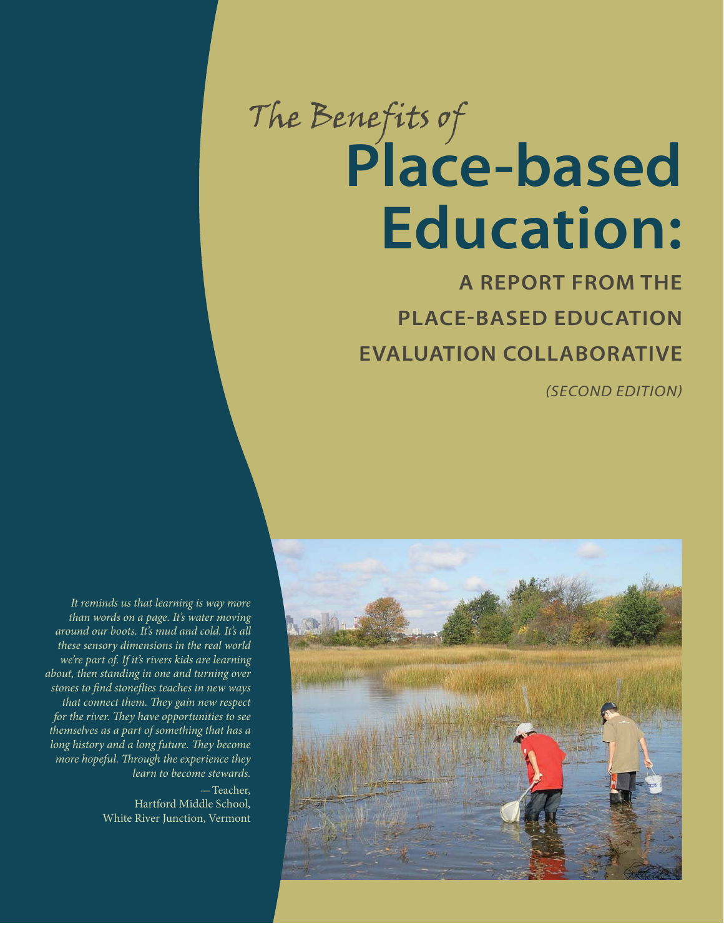# The Benefits of **Place-based Education:**

**A REPORT FROM THE PLACE-BASED EDUCATION EVALUATION COLLABORATIVE**

(SECOND EDITION)



It reminds us that learning is way more than words on a page. It's water moving around our boots. It's mud and cold. It's all these sensory dimensions in the real world we're part of. If it's rivers kids are learning about, then standing in one and turning over stones to find stoneflies teaches in new ways that connect them. They gain new respect for the river. They have opportunities to see themselves as a part of something that has a long history and a long future. They become more hopeful. Through the experience they learn to become stewards.

> —Teacher, Hartford Middle School, White River Junction, Vermont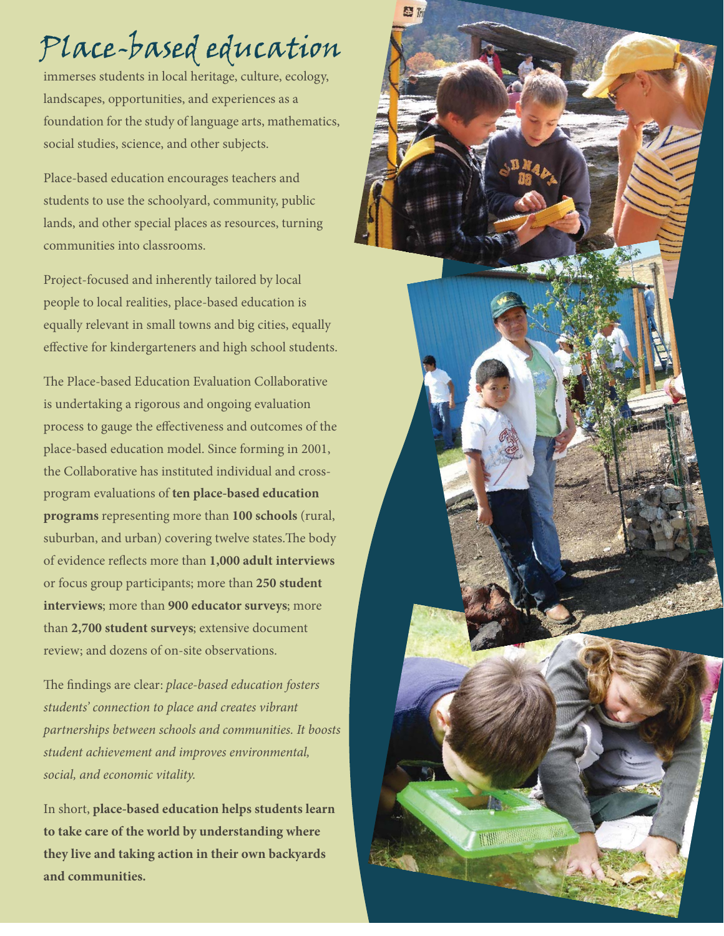## Place-based education

immerses students in local heritage, culture, ecology, landscapes, opportunities, and experiences as a foundation for the study of language arts, mathematics, social studies, science, and other subjects.

Place-based education encourages teachers and students to use the schoolyard, community, public lands, and other special places as resources, turning communities into classrooms.

Project-focused and inherently tailored by local people to local realities, place-based education is equally relevant in small towns and big cities, equally effective for kindergarteners and high school students.

The Place-based Education Evaluation Collaborative is undertaking a rigorous and ongoing evaluation process to gauge the effectiveness and outcomes of the place-based education model. Since forming in 2001, the Collaborative has instituted individual and crossprogram evaluations of **ten place-based education programs** representing more than **100 schools** (rural, suburban, and urban) covering twelve states. The body of evidence re#ects more than **1,000 adult interviews** or focus group participants; more than **250 student interviews**; more than **900 educator surveys**; more than **2,700 student surveys**; extensive document review; and dozens of on-site observations.

The findings are clear: place-based education fosters students' connection to place and creates vibrant partnerships between schools and communities. It boosts student achievement and improves environmental, social, and economic vitality.

In short, **place-based education helps students learn to take care of the world by understanding where they live and taking action in their own backyards and communities.**

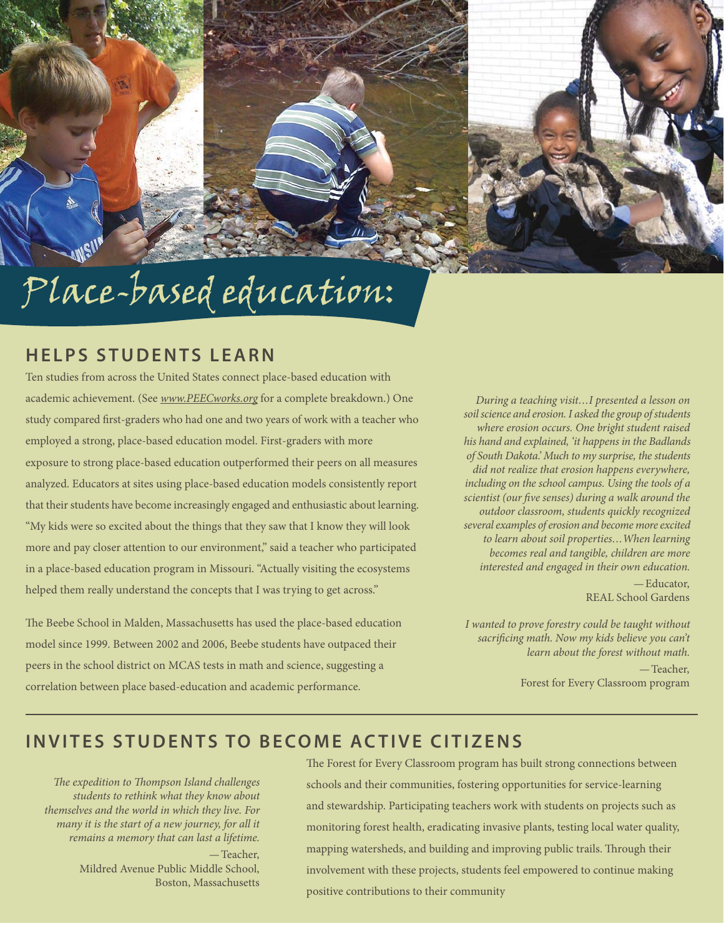# Place-based education:

#### **HELPS STUDENTS LEARN**

Ten studies from across the United States connect place-based education with academic achievement. (See www.PEECworks.org for a complete breakdown.) One study compared first-graders who had one and two years of work with a teacher who employed a strong, place-based education model. First-graders with more exposure to strong place-based education outperformed their peers on all measures analyzed. Educators at sites using place-based education models consistently report that their students have become increasingly engaged and enthusiastic about learning. "My kids were so excited about the things that they saw that I know they will look more and pay closer attention to our environment," said a teacher who participated in a place-based education program in Missouri. "Actually visiting the ecosystems helped them really understand the concepts that I was trying to get across."

The Beebe School in Malden, Massachusetts has used the place-based education model since 1999. Between 2002 and 2006, Beebe students have outpaced their peers in the school district on MCAS tests in math and science, suggesting a correlation between place based-education and academic performance.

During a teaching visit…I presented a lesson on soil science and erosion. I asked the group of students where erosion occurs. One bright student raised his hand and explained, 'it happens in the Badlands of South Dakota.' Much to my surprise, the students did not realize that erosion happens everywhere, including on the school campus. Using the tools of a scientist (our five senses) during a walk around the outdoor classroom, students quickly recognized several examples of erosion and become more excited to learn about soil properties…When learning becomes real and tangible, children are more interested and engaged in their own education. —Educator,

REAL School Gardens

I wanted to prove forestry could be taught without sacrificing math. Now my kids believe you can't learn about the forest without math. —Teacher, Forest for Every Classroom program

#### **INVITES STUDENTS TO BECOME ACTIVE CITIZENS**

The expedition to Thompson Island challenges students to rethink what they know about themselves and the world in which they live. For many it is the start of a new journey, for all it remains a memory that can last a lifetime. —Teacher, Mildred Avenue Public Middle School, Boston, Massachusetts

The Forest for Every Classroom program has built strong connections between schools and their communities, fostering opportunities for service-learning and stewardship. Participating teachers work with students on projects such as monitoring forest health, eradicating invasive plants, testing local water quality, mapping watersheds, and building and improving public trails. Through their involvement with these projects, students feel empowered to continue making positive contributions to their community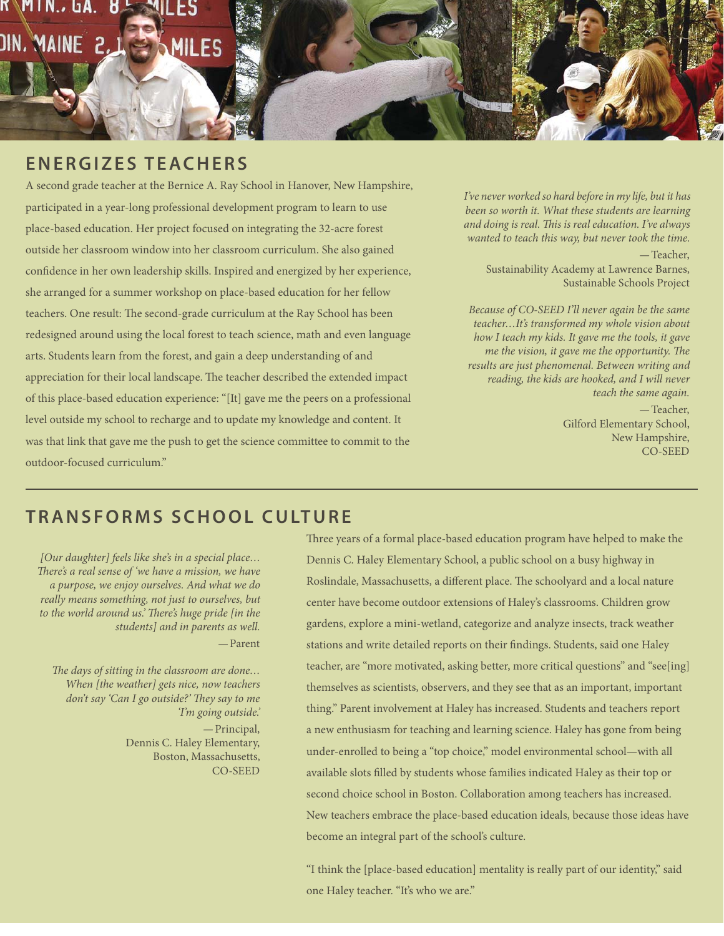### MAINE 2. **III FS**

#### **E N E R G I Z E S T E A C H E R S**

A second grade teacher at the Bernice A. Ray School in Hanover, New Hampshire, participated in a year-long professional development program to learn to use place-based education. Her project focused on integrating the 32-acre forest outside her classroom window into her classroom curriculum. She also gained confidence in her own leadership skills. Inspired and energized by her experience, she arranged for a summer workshop on place-based education for her fellow teachers. One result: The second-grade curriculum at the Ray School has been redesigned around using the local forest to teach science, math and even language arts. Students learn from the forest, and gain a deep understanding of and appreciation for their local landscape. The teacher described the extended impact of this place-based education experience: "[It] gave me the peers on a professional level outside my school to recharge and to update my knowledge and content. It was that link that gave me the push to get the science committee to commit to the outdoor-focused curriculum."

I've never worked so hard before in my life, but it has been so worth it. What these students are learning and doing is real. This is real education. I've always wanted to teach this way, but never took the time. —Teacher, Sustainability Academy at Lawrence Barnes, Sustainable Schools Project

Because of CO-SEED I'll never again be the same teacher…It's transformed my whole vision about how I teach my kids. It gave me the tools, it gave me the vision, it gave me the opportunity. The results are just phenomenal. Between writing and reading, the kids are hooked, and I will never teach the same again. —Teacher, Gilford Elementary School, New Hampshire, CO-SEED

#### **T R A N S F O R M S S C H O O L C U LT U R E**

[Our daughter] feels like she's in a special place… There's a real sense of 'we have a mission, we have a purpose, we enjoy ourselves. And what we do really means something, not just to ourselves, but to the world around us.' There's huge pride [in the students] and in parents as well. —Parent

The days of sitting in the classroom are done... When [the weather] gets nice, now teachers don't say 'Can I go outside?' They say to me 'I'm going outside.' —Principal, Dennis C. Haley Elementary, Boston, Massachusetts, CO-SEED

Three years of a formal place-based education program have helped to make the Dennis C. Haley Elementary School, a public school on a busy highway in Roslindale, Massachusetts, a different place. The schoolyard and a local nature center have become outdoor extensions of Haley's classrooms. Children grow gardens, explore a mini-wetland, categorize and analyze insects, track weather stations and write detailed reports on their findings. Students, said one Haley teacher, are "more motivated, asking better, more critical questions" and "see[ing] themselves as scientists, observers, and they see that as an important, important thing." Parent involvement at Haley has increased. Students and teachers report a new enthusiasm for teaching and learning science. Haley has gone from being under-enrolled to being a "top choice," model environmental school—with all available slots filled by students whose families indicated Haley as their top or second choice school in Boston. Collaboration among teachers has increased. New teachers embrace the place-based education ideals, because those ideas have become an integral part of the school's culture.

"I think the [place-based education] mentality is really part of our identity," said one Haley teacher. "It's who we are."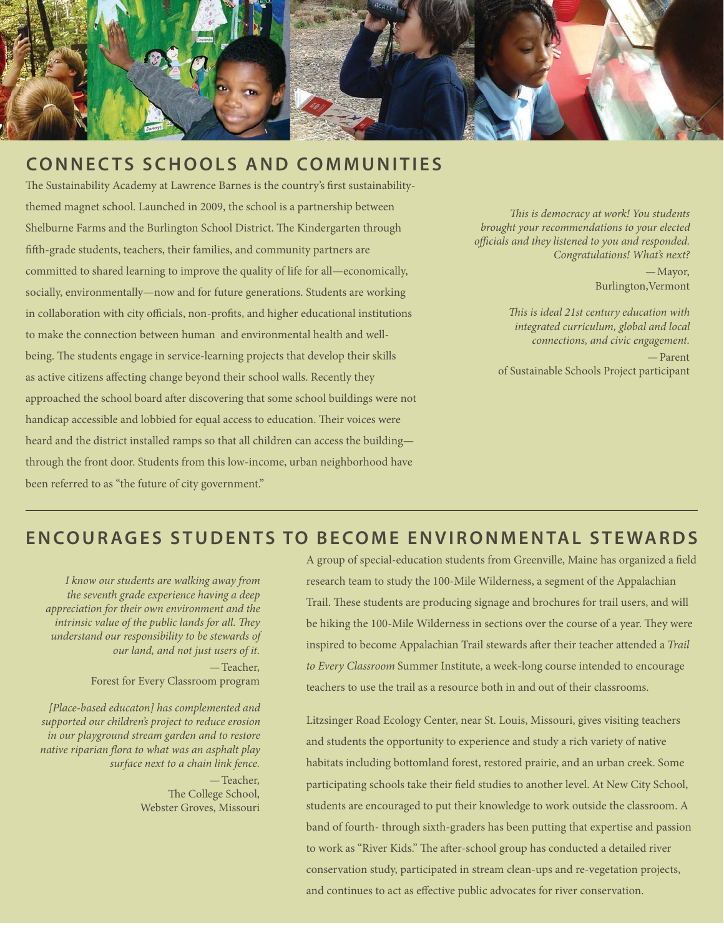

#### **CONNECTS SCHOOLS AND COMMUNITIES**

The Sustainability Academy at Lawrence Barnes is the country's first sustainabilitythemed magnet school. Launched in 2009, the school is a partnership between Shelburne Farms and the Burlington School District. The Kindergarten through fifth-grade students, teachers, their families, and community partners are committed to shared learning to improve the quality of life for all—economically, socially, environmentally—now and for future generations. Students are working in collaboration with city officials, non-profits, and higher educational institutions to make the connection between human and environmental health and wellbeing. The students engage in service-learning projects that develop their skills as active citizens affecting change beyond their school walls. Recently they approached the school board after discovering that some school buildings were not handicap accessible and lobbied for equal access to education. Their voices were heard and the district installed ramps so that all children can access the building through the front door. Students from this low-income, urban neighborhood have been referred to as "the future of city government."

This is democracy at work! You students brought your recommendations to your elected officials and they listened to you and responded. Congratulations! What's next?

> —Mayor, Burlington,Vermont

This is ideal 21st century education with integrated curriculum, global and local connections, and civic engagement. —Parent of Sustainable Schools Project participant

#### **ENCOURAGES STUDENTS TO BECOME ENVIRONMENTAL STEWARDS**

I know our students are walking away from the seventh grade experience having a deep appreciation for their own environment and the intrinsic value of the public lands for all. They understand our responsibility to be stewards of our land, and not just users of it. —Teacher, Forest for Every Classroom program

[Place-based educaton] has complemented and supported our children's project to reduce erosion in our playground stream garden and to restore native riparian flora to what was an asphalt play surface next to a chain link fence.

> —Teacher, The College School, Webster Groves, Missouri

A group of special-education students from Greenville, Maine has organized a field research team to study the 100-Mile Wilderness, a segment of the Appalachian Trail. These students are producing signage and brochures for trail users, and will be hiking the 100-Mile Wilderness in sections over the course of a year. They were inspired to become Appalachian Trail stewards after their teacher attended a Trail to Every Classroom Summer Institute, a week-long course intended to encourage teachers to use the trail as a resource both in and out of their classrooms.

Litzsinger Road Ecology Center, near St. Louis, Missouri, gives visiting teachers and students the opportunity to experience and study a rich variety of native habitats including bottomland forest, restored prairie, and an urban creek. Some participating schools take their field studies to another level. At New City School, students are encouraged to put their knowledge to work outside the classroom. A band of fourth- through sixth-graders has been putting that expertise and passion to work as "River Kids." The after-school group has conducted a detailed river conservation study, participated in stream clean-ups and re-vegetation projects, and continues to act as effective public advocates for river conservation.